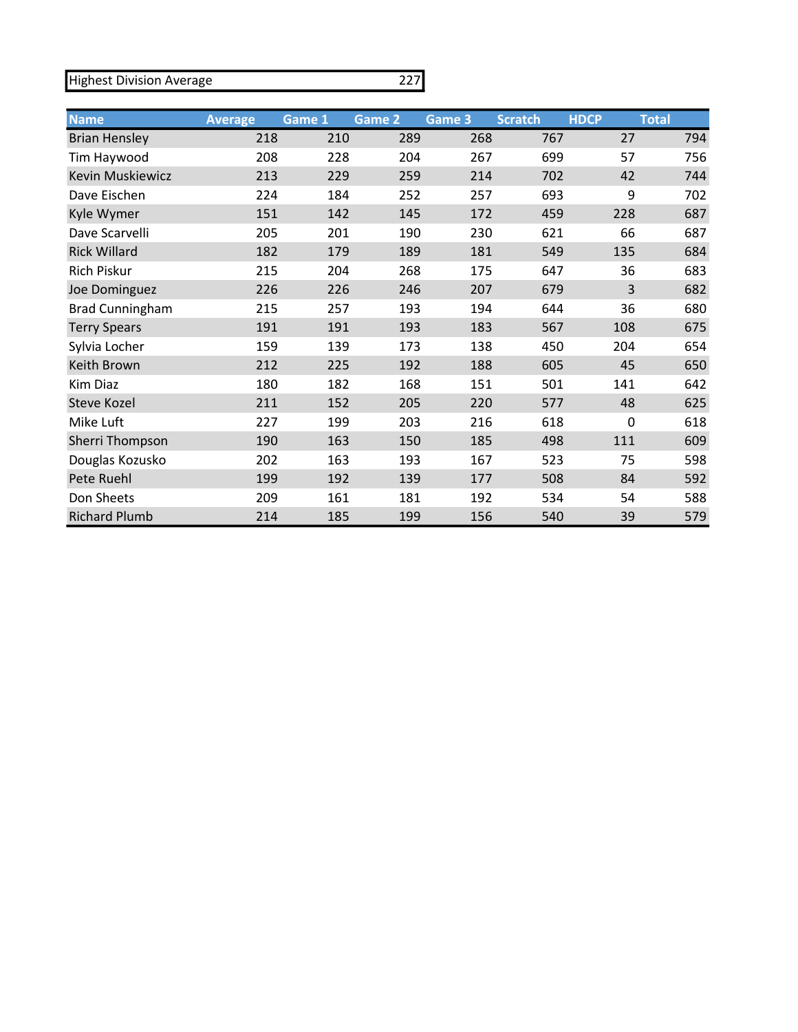Highest Division Average

|--|

| <b>Name</b>             | <b>Average</b> | Game 1 | Game 2 | Game 3 | <b>Scratch</b> | <b>HDCP</b> | <b>Total</b> |
|-------------------------|----------------|--------|--------|--------|----------------|-------------|--------------|
| <b>Brian Hensley</b>    | 218            | 210    | 289    | 268    | 767            | 27          | 794          |
| Tim Haywood             | 208            | 228    | 204    | 267    | 699            | 57          | 756          |
| <b>Kevin Muskiewicz</b> | 213            | 229    | 259    | 214    | 702            | 42          | 744          |
| Dave Eischen            | 224            | 184    | 252    | 257    | 693            | 9           | 702          |
| Kyle Wymer              | 151            | 142    | 145    | 172    | 459            | 228         | 687          |
| Dave Scarvelli          | 205            | 201    | 190    | 230    | 621            | 66          | 687          |
| <b>Rick Willard</b>     | 182            | 179    | 189    | 181    | 549            | 135         | 684          |
| Rich Piskur             | 215            | 204    | 268    | 175    | 647            | 36          | 683          |
| Joe Dominguez           | 226            | 226    | 246    | 207    | 679            | 3           | 682          |
| <b>Brad Cunningham</b>  | 215            | 257    | 193    | 194    | 644            | 36          | 680          |
| <b>Terry Spears</b>     | 191            | 191    | 193    | 183    | 567            | 108         | 675          |
| Sylvia Locher           | 159            | 139    | 173    | 138    | 450            | 204         | 654          |
| Keith Brown             | 212            | 225    | 192    | 188    | 605            | 45          | 650          |
| Kim Diaz                | 180            | 182    | 168    | 151    | 501            | 141         | 642          |
| <b>Steve Kozel</b>      | 211            | 152    | 205    | 220    | 577            | 48          | 625          |
| Mike Luft               | 227            | 199    | 203    | 216    | 618            | $\mathbf 0$ | 618          |
| Sherri Thompson         | 190            | 163    | 150    | 185    | 498            | 111         | 609          |
| Douglas Kozusko         | 202            | 163    | 193    | 167    | 523            | 75          | 598          |
| Pete Ruehl              | 199            | 192    | 139    | 177    | 508            | 84          | 592          |
| Don Sheets              | 209            | 161    | 181    | 192    | 534            | 54          | 588          |
| <b>Richard Plumb</b>    | 214            | 185    | 199    | 156    | 540            | 39          | 579          |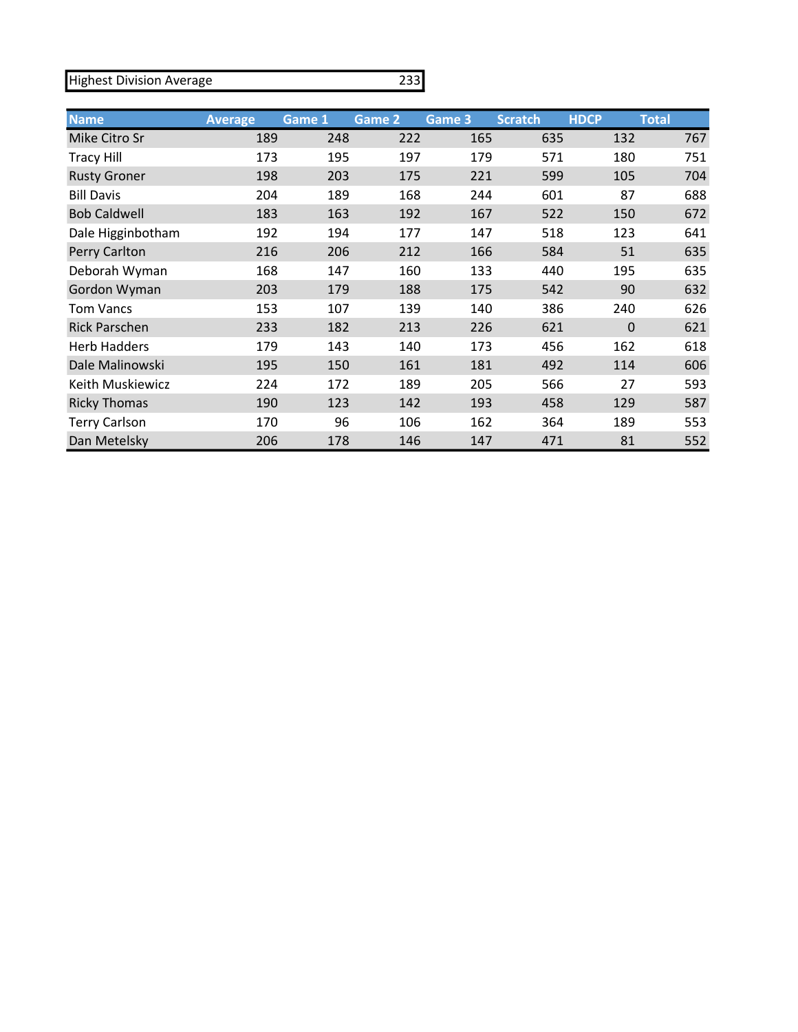Highest Division Average

## 233

| <b>Name</b>          | <b>Average</b> | Game 1 | Game 2 | Game 3 | <b>Scratch</b> | <b>HDCP</b> | <b>Total</b> |
|----------------------|----------------|--------|--------|--------|----------------|-------------|--------------|
| Mike Citro Sr        | 189            | 248    | 222    | 165    | 635            | 132         | 767          |
| <b>Tracy Hill</b>    | 173            | 195    | 197    | 179    | 571            | 180         | 751          |
| <b>Rusty Groner</b>  | 198            | 203    | 175    | 221    | 599            | 105         | 704          |
| <b>Bill Davis</b>    | 204            | 189    | 168    | 244    | 601            | 87          | 688          |
| <b>Bob Caldwell</b>  | 183            | 163    | 192    | 167    | 522            | 150         | 672          |
| Dale Higginbotham    | 192            | 194    | 177    | 147    | 518            | 123         | 641          |
| Perry Carlton        | 216            | 206    | 212    | 166    | 584            | 51          | 635          |
| Deborah Wyman        | 168            | 147    | 160    | 133    | 440            | 195         | 635          |
| Gordon Wyman         | 203            | 179    | 188    | 175    | 542            | 90          | 632          |
| <b>Tom Vancs</b>     | 153            | 107    | 139    | 140    | 386            | 240         | 626          |
| <b>Rick Parschen</b> | 233            | 182    | 213    | 226    | 621            | 0           | 621          |
| <b>Herb Hadders</b>  | 179            | 143    | 140    | 173    | 456            | 162         | 618          |
| Dale Malinowski      | 195            | 150    | 161    | 181    | 492            | 114         | 606          |
| Keith Muskiewicz     | 224            | 172    | 189    | 205    | 566            | 27          | 593          |
| <b>Ricky Thomas</b>  | 190            | 123    | 142    | 193    | 458            | 129         | 587          |
| <b>Terry Carlson</b> | 170            | 96     | 106    | 162    | 364            | 189         | 553          |
| Dan Metelsky         | 206            | 178    | 146    | 147    | 471            | 81          | 552          |